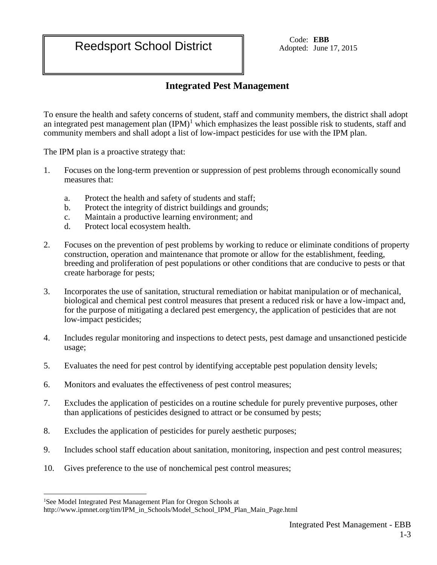Adopted: June 17, 2015

## **Integrated Pest Management**

To ensure the health and safety concerns of student, staff and community members, the district shall adopt an integrated pest management plan  $(IPM)^1$  which emphasizes the least possible risk to students, staff and community members and shall adopt a list of low-impact pesticides for use with the IPM plan.

The IPM plan is a proactive strategy that:

- 1. Focuses on the long-term prevention or suppression of pest problems through economically sound measures that:
	- a. Protect the health and safety of students and staff;
	- b. Protect the integrity of district buildings and grounds;
	- c. Maintain a productive learning environment; and
	- d. Protect local ecosystem health.
- 2. Focuses on the prevention of pest problems by working to reduce or eliminate conditions of property construction, operation and maintenance that promote or allow for the establishment, feeding, breeding and proliferation of pest populations or other conditions that are conducive to pests or that create harborage for pests;
- 3. Incorporates the use of sanitation, structural remediation or habitat manipulation or of mechanical, biological and chemical pest control measures that present a reduced risk or have a low-impact and, for the purpose of mitigating a declared pest emergency, the application of pesticides that are not low-impact pesticides;
- 4. Includes regular monitoring and inspections to detect pests, pest damage and unsanctioned pesticide usage;
- 5. Evaluates the need for pest control by identifying acceptable pest population density levels;
- 6. Monitors and evaluates the effectiveness of pest control measures;
- 7. Excludes the application of pesticides on a routine schedule for purely preventive purposes, other than applications of pesticides designed to attract or be consumed by pests;
- 8. Excludes the application of pesticides for purely aesthetic purposes;
- 9. Includes school staff education about sanitation, monitoring, inspection and pest control measures;
- 10. Gives preference to the use of nonchemical pest control measures;

 $\overline{a}$ 

<sup>&</sup>lt;sup>1</sup>See Model Integrated Pest Management Plan for Oregon Schools at

http://www.ipmnet.org/tim/IPM\_in\_Schools/Model\_School\_IPM\_Plan\_Main\_Page.html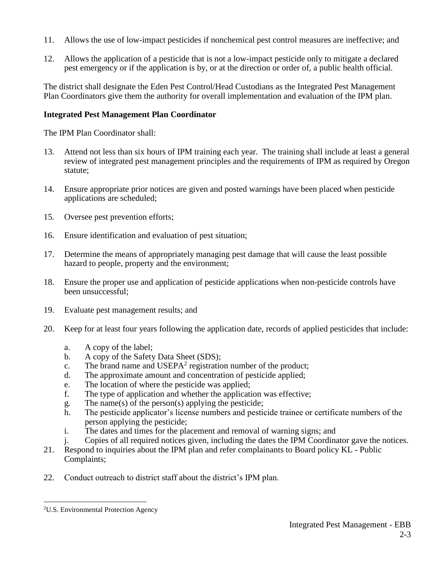- 11. Allows the use of low-impact pesticides if nonchemical pest control measures are ineffective; and
- 12. Allows the application of a pesticide that is not a low-impact pesticide only to mitigate a declared pest emergency or if the application is by, or at the direction or order of, a public health official.

The district shall designate the Eden Pest Control/Head Custodians as the Integrated Pest Management Plan Coordinators give them the authority for overall implementation and evaluation of the IPM plan.

## **Integrated Pest Management Plan Coordinator**

The IPM Plan Coordinator shall:

- 13. Attend not less than six hours of IPM training each year. The training shall include at least a general review of integrated pest management principles and the requirements of IPM as required by Oregon statute;
- 14. Ensure appropriate prior notices are given and posted warnings have been placed when pesticide applications are scheduled;
- 15. Oversee pest prevention efforts;
- 16. Ensure identification and evaluation of pest situation;
- 17. Determine the means of appropriately managing pest damage that will cause the least possible hazard to people, property and the environment;
- 18. Ensure the proper use and application of pesticide applications when non-pesticide controls have been unsuccessful;
- 19. Evaluate pest management results; and
- 20. Keep for at least four years following the application date, records of applied pesticides that include:
	- a. A copy of the label;
	- b. A copy of the Safety Data Sheet (SDS);
	- c. The brand name and USEPA<sup>2</sup> registration number of the product;
	- d. The approximate amount and concentration of pesticide applied;
	- e. The location of where the pesticide was applied;
	- f. The type of application and whether the application was effective;
	- g. The name(s) of the person(s) applying the pesticide;
	- h. The pesticide applicator's license numbers and pesticide trainee or certificate numbers of the person applying the pesticide;
	- i. The dates and times for the placement and removal of warning signs; and
	- j. Copies of all required notices given, including the dates the IPM Coordinator gave the notices.
- 21. Respond to inquiries about the IPM plan and refer complainants to Board policy KL Public Complaints;
- 22. Conduct outreach to district staff about the district's IPM plan.

 $\overline{a}$ 2U.S. Environmental Protection Agency